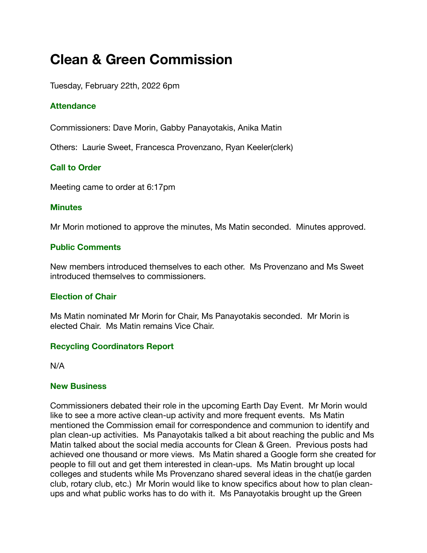# **Clean & Green Commission**

Tuesday, February 22th, 2022 6pm

# **Attendance**

Commissioners: Dave Morin, Gabby Panayotakis, Anika Matin

Others: Laurie Sweet, Francesca Provenzano, Ryan Keeler(clerk)

# **Call to Order**

Meeting came to order at 6:17pm

#### **Minutes**

Mr Morin motioned to approve the minutes, Ms Matin seconded. Minutes approved.

### **Public Comments**

New members introduced themselves to each other. Ms Provenzano and Ms Sweet introduced themselves to commissioners.

### **Election of Chair**

Ms Matin nominated Mr Morin for Chair, Ms Panayotakis seconded. Mr Morin is elected Chair. Ms Matin remains Vice Chair.

### **Recycling Coordinators Report**

N/A

#### **New Business**

Commissioners debated their role in the upcoming Earth Day Event. Mr Morin would like to see a more active clean-up activity and more frequent events. Ms Matin mentioned the Commission email for correspondence and communion to identify and plan clean-up activities. Ms Panayotakis talked a bit about reaching the public and Ms Matin talked about the social media accounts for Clean & Green. Previous posts had achieved one thousand or more views. Ms Matin shared a Google form she created for people to fill out and get them interested in clean-ups. Ms Matin brought up local colleges and students while Ms Provenzano shared several ideas in the chat(ie garden club, rotary club, etc.) Mr Morin would like to know specifics about how to plan cleanups and what public works has to do with it. Ms Panayotakis brought up the Green